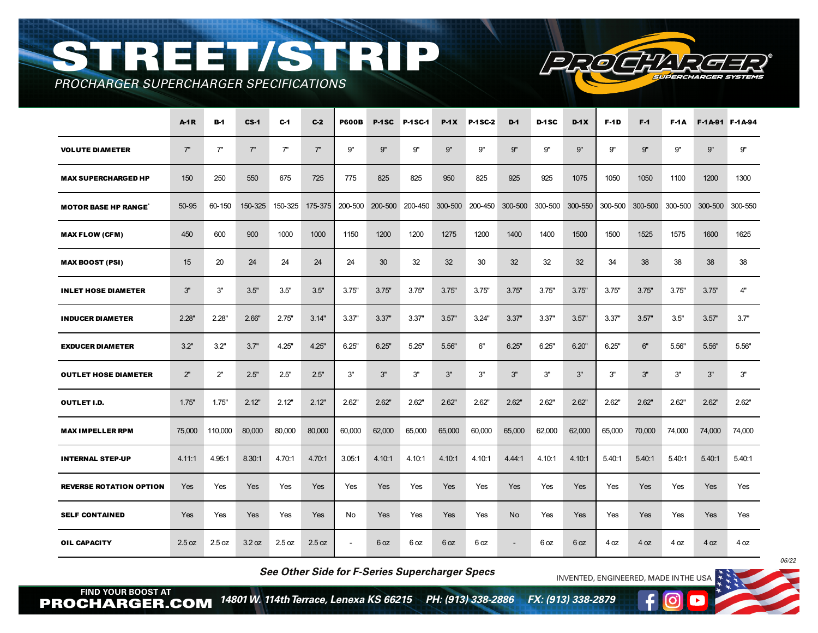## STREET/STRIP

┱



*PROCHARGER SUPERCHARGER SPECIFICATIONS*

|                                | <b>A-1R</b> | <b>B-1</b> | $CS-1$     | $C-1$   | $C-2$   | <b>P600B</b> | P-1SC  | P-1SC-1                 | $P-1X$          | P-1SC-2 | $D-1$                                   | D-1SC  | $D-1X$ | <b>F-1D</b> | $F-1$      | F-1A   |                                 | F-1A-91 F-1A-94 |
|--------------------------------|-------------|------------|------------|---------|---------|--------------|--------|-------------------------|-----------------|---------|-----------------------------------------|--------|--------|-------------|------------|--------|---------------------------------|-----------------|
| <b>VOLUTE DIAMETER</b>         | 7"          | 7"         | 7"         | 7"      | 7"      | 9"           | 9"     | 9"                      | 9"              | 9"      | 9"                                      | 9"     | 9"     | 9"          | 9"         | 9"     | 9"                              | 9"              |
| <b>MAX SUPERCHARGED HP</b>     | 150         | 250        | 550        | 675     | 725     | 775          | 825    | 825                     | 950             | 825     | 925                                     | 925    | 1075   | 1050        | 1050       | 1100   | 1200                            | 1300            |
| <b>MOTOR BASE HP RANGE</b>     | 50-95       | 60-150     | 150-325    | 150-325 | 175-375 |              |        | 200-500 200-500 200-450 |                 |         | 300-500 200-450 300-500 300-500 300-550 |        |        | 300-500     |            |        | 300-500 300-500 300-500 300-550 |                 |
| <b>MAX FLOW (CFM)</b>          | 450         | 600        | 900        | 1000    | 1000    | 1150         | 1200   | 1200                    | 1275            | 1200    | 1400                                    | 1400   | 1500   | 1500        | 1525       | 1575   | 1600                            | 1625            |
| <b>MAX BOOST (PSI)</b>         | 15          | 20         | 24         | 24      | 24      | 24           | 30     | 32                      | 32 <sup>2</sup> | 30      | 32                                      | 32     | 32     | 34          | 38         | 38     | 38                              | 38              |
| <b>INLET HOSE DIAMETER</b>     | 3"          | 3"         | 3.5"       | 3.5"    | 3.5"    | 3.75"        | 3.75"  | 3.75"                   | 3.75"           | 3.75"   | 3.75"                                   | 3.75"  | 3.75"  | 3.75"       | 3.75"      | 3.75"  | 3.75"                           | 4"              |
| <b>INDUCER DIAMETER</b>        | 2.28"       | 2.28"      | 2.66"      | 2.75"   | 3.14"   | 3.37"        | 3.37"  | 3.37"                   | 3.57"           | 3.24"   | 3.37"                                   | 3.37"  | 3.57"  | 3.37"       | 3.57"      | 3.5"   | 3.57"                           | 3.7"            |
| <b>EXDUCER DIAMETER</b>        | 3.2"        | 3.2"       | 3.7"       | 4.25"   | 4.25"   | 6.25"        | 6.25"  | 5.25"                   | 5.56"           | 6"      | 6.25"                                   | 6.25"  | 6.20"  | 6.25"       | 6"         | 5.56"  | 5.56"                           | 5.56"           |
| <b>OUTLET HOSE DIAMETER</b>    | 2"          | 2"         | 2.5"       | 2.5"    | 2.5"    | 3"           | 3"     | 3"                      | 3"              | 3"      | 3"                                      | 3"     | 3"     | 3"          | 3"         | 3"     | 3"                              | 3"              |
| <b>OUTLET I.D.</b>             | 1.75"       | 1.75"      | 2.12"      | 2.12"   | 2.12"   | 2.62"        | 2.62"  | 2.62"                   | 2.62"           | 2.62"   | 2.62"                                   | 2.62"  | 2.62"  | 2.62"       | 2.62"      | 2.62"  | 2.62"                           | 2.62"           |
| <b>MAX IMPELLER RPM</b>        | 75,000      | 110,000    | 80,000     | 80,000  | 80,000  | 60,000       | 62,000 | 65,000                  | 65,000          | 60,000  | 65,000                                  | 62,000 | 62,000 | 65,000      | 70,000     | 74,000 | 74,000                          | 74,000          |
| <b>INTERNAL STEP-UP</b>        | 4.11.1      | 4.95.1     | 8.30:1     | 4.70:1  | 4.70:1  | 3.05.1       | 4.10:1 | 4.10:1                  | 4.10.1          | 4.10:1  | 4.44.1                                  | 4.10:1 | 4.10:1 | 5.40:1      | 5.40:1     | 5.40.1 | 5.40:1                          | 5.40.1          |
| <b>REVERSE ROTATION OPTION</b> | Yes         | Yes        | Yes        | Yes     | Yes     | Yes          | Yes    | Yes                     | Yes             | Yes     | Yes                                     | Yes    | Yes    | Yes         | <b>Yes</b> | Yes    | <b>Yes</b>                      | Yes             |
| <b>SELF CONTAINED</b>          | <b>Yes</b>  | Yes        | <b>Yes</b> | Yes     | Yes     | No           | Yes    | Yes                     | Yes             | Yes     | N <sub>o</sub>                          | Yes    | Yes    | Yes         | Yes        | Yes    | Yes                             | Yes             |
| <b>OIL CAPACITY</b>            | 2.5 oz      | 2.5 oz     | 3.2 oz     | 2.5 oz  | 2.5 oz  | $\sim$       | 6 oz   | 6 oz                    | 6 oz            | 6 oz    | $\blacksquare$                          | 6 oz   | 6 oz   | 4 oz        | 4 oz       | 4 oz   | 4 oz                            | 4 oz            |

*See Other Side for F-Series Supercharger Specs*

INVENTED, ENGINEERED, MADE IN THE USA

**FIND YOUR BOOST AT** PROCHARGER.COM *14801 W. 114th Terrace, Lenexa KS 66215 PH: (913) 338-2886 FX: (913) 338-2879* 

*06/22*